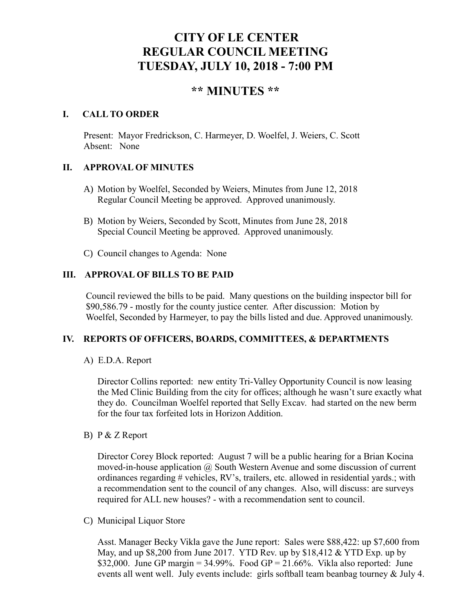# **CITY OF LE CENTER REGULAR COUNCIL MEETING TUESDAY, JULY 10, 2018 - 7:00 PM**

## **\*\* MINUTES \*\***

## **I. CALL TO ORDER**

Present: Mayor Fredrickson, C. Harmeyer, D. Woelfel, J. Weiers, C. Scott Absent: None

## **II. APPROVAL OF MINUTES**

- A) Motion by Woelfel, Seconded by Weiers, Minutes from June 12, 2018 Regular Council Meeting be approved. Approved unanimously.
- B) Motion by Weiers, Seconded by Scott, Minutes from June 28, 2018 Special Council Meeting be approved. Approved unanimously.
- C) Council changes to Agenda: None

## **III. APPROVAL OF BILLS TO BE PAID**

Council reviewed the bills to be paid. Many questions on the building inspector bill for \$90,586.79 - mostly for the county justice center. After discussion: Motion by Woelfel, Seconded by Harmeyer, to pay the bills listed and due. Approved unanimously.

## **IV. REPORTS OF OFFICERS, BOARDS, COMMITTEES, & DEPARTMENTS**

A) E.D.A. Report

 Director Collins reported: new entity Tri-Valley Opportunity Council is now leasing the Med Clinic Building from the city for offices; although he wasn't sure exactly what they do. Councilman Woelfel reported that Selly Excav. had started on the new berm for the four tax forfeited lots in Horizon Addition.

B) P & Z Report

Director Corey Block reported: August 7 will be a public hearing for a Brian Kocina moved-in-house application @ South Western Avenue and some discussion of current ordinances regarding # vehicles, RV's, trailers, etc. allowed in residential yards.; with a recommendation sent to the council of any changes. Also, will discuss: are surveys required for ALL new houses? - with a recommendation sent to council.

C) Municipal Liquor Store

Asst. Manager Becky Vikla gave the June report: Sales were \$88,422: up \$7,600 from May, and up \$8,200 from June 2017. YTD Rev. up by \$18,412 & YTD Exp. up by \$32,000. June GP margin = 34.99%. Food GP =  $21.66\%$ . Vikla also reported: June events all went well. July events include: girls softball team beanbag tourney & July 4.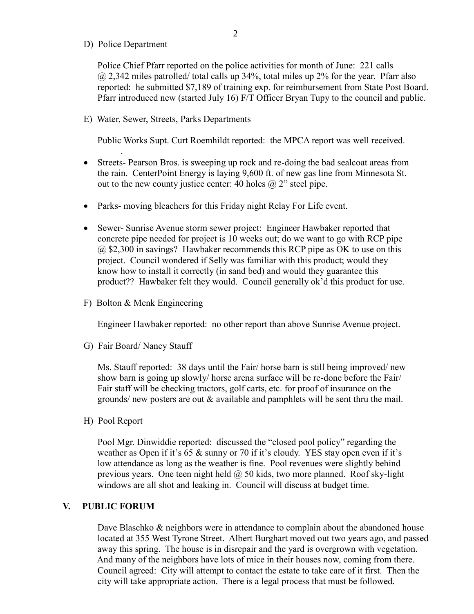D) Police Department

.

Police Chief Pfarr reported on the police activities for month of June: 221 calls  $@$  2,342 miles patrolled/ total calls up 34%, total miles up 2% for the year. Pfarr also reported: he submitted \$7,189 of training exp. for reimbursement from State Post Board. Pfarr introduced new (started July 16) F/T Officer Bryan Tupy to the council and public.

E) Water, Sewer, Streets, Parks Departments

Public Works Supt. Curt Roemhildt reported: the MPCA report was well received.

- Streets- Pearson Bros. is sweeping up rock and re-doing the bad sealcoat areas from the rain. CenterPoint Energy is laying 9,600 ft. of new gas line from Minnesota St. out to the new county justice center: 40 holes  $\omega$  2" steel pipe.
- Parks- moving bleachers for this Friday night Relay For Life event.
- Sewer- Sunrise Avenue storm sewer project: Engineer Hawbaker reported that concrete pipe needed for project is 10 weeks out; do we want to go with RCP pipe @ \$2,300 in savings? Hawbaker recommends this RCP pipe as OK to use on this project. Council wondered if Selly was familiar with this product; would they know how to install it correctly (in sand bed) and would they guarantee this product?? Hawbaker felt they would. Council generally ok'd this product for use.
- F) Bolton & Menk Engineering

Engineer Hawbaker reported: no other report than above Sunrise Avenue project.

G) Fair Board/ Nancy Stauff

 Ms. Stauff reported: 38 days until the Fair/ horse barn is still being improved/ new show barn is going up slowly/ horse arena surface will be re-done before the Fair/ Fair staff will be checking tractors, golf carts, etc. for proof of insurance on the grounds/ new posters are out  $\&$  available and pamphlets will be sent thru the mail.

H) Pool Report

 Pool Mgr. Dinwiddie reported: discussed the "closed pool policy" regarding the weather as Open if it's 65 & sunny or 70 if it's cloudy. YES stay open even if it's low attendance as long as the weather is fine. Pool revenues were slightly behind previous years. One teen night held  $\omega$  50 kids, two more planned. Roof sky-light windows are all shot and leaking in. Council will discuss at budget time.

#### **V. PUBLIC FORUM**

Dave Blaschko & neighbors were in attendance to complain about the abandoned house located at 355 West Tyrone Street. Albert Burghart moved out two years ago, and passed away this spring. The house is in disrepair and the yard is overgrown with vegetation. And many of the neighbors have lots of mice in their houses now, coming from there. Council agreed: City will attempt to contact the estate to take care of it first. Then the city will take appropriate action. There is a legal process that must be followed.